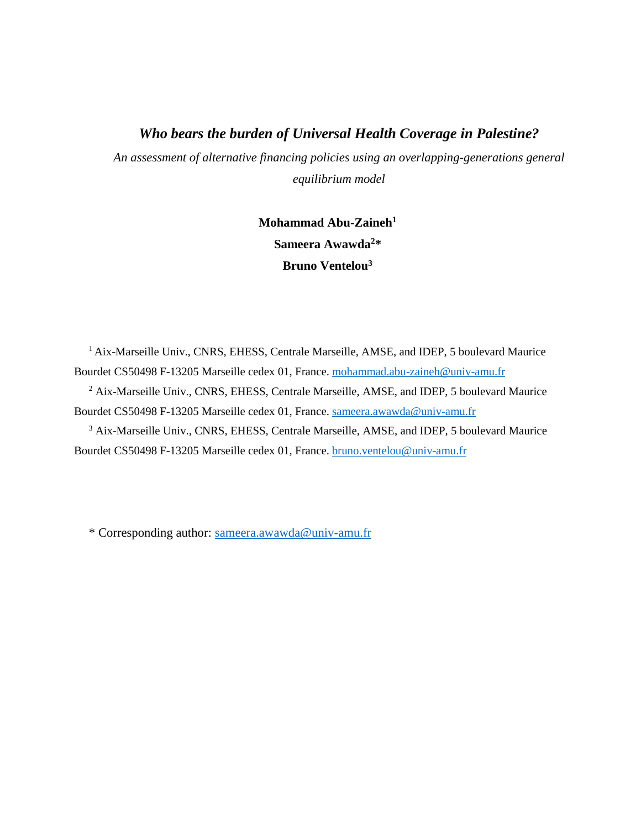## *Who bears the burden of Universal Health Coverage in Palestine?*

*An assessment of alternative financing policies using an overlapping-generations general equilibrium model*

> **Mohammad Abu-Zaineh<sup>1</sup> Sameera Awawda<sup>2</sup>\* Bruno Ventelou<sup>3</sup>**

<sup>1</sup> Aix-Marseille Univ., CNRS, EHESS, Centrale Marseille, AMSE, and IDEP, 5 boulevard Maurice Bourdet CS50498 F-13205 Marseille cedex 01, France. [mohammad.abu-zaineh@univ-amu.fr](mailto:mohammad.abu-zaineh@univ-amu.fr)

<sup>2</sup> Aix-Marseille Univ., CNRS, EHESS, Centrale Marseille, AMSE, and IDEP, 5 boulevard Maurice Bourdet CS50498 F-13205 Marseille cedex 01, France. [sameera.awawda@univ-amu.fr](mailto:sameera.awawda@univ-amu.fr)

<sup>3</sup> Aix-Marseille Univ., CNRS, EHESS, Centrale Marseille, AMSE, and IDEP, 5 boulevard Maurice Bourdet CS50498 F-13205 Marseille cedex 01, France. [bruno.ventelou@univ-amu.fr](mailto:bruno.ventelou@univ-amu.fr)

\* Corresponding author: [sameera.awawda@univ-amu.fr](mailto:sameera.awawda@univ-amu.fr)